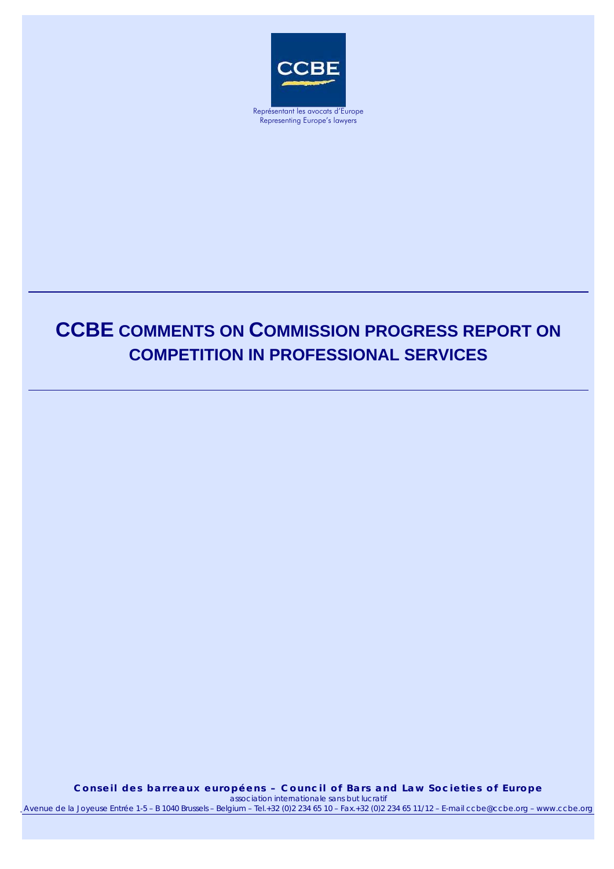

Representing Europe's lawyers

# **CCBE COMMENTS ON COMMISSION PROGRESS REPORT ON COMPETITION IN PROFESSIONAL SERVICES**

**Conseil des barreaux européens – Council of Bars and Law Societies of Europe Conseil des barreaux européens – Council of Bars and Law Societies of Europe**  *association internationale sans but lucratif association internationale sans but lucratif* Avenue de la Joyeuse Entrée 1-5 - B 1040 Brussels - Belgium - Tel.+32 (0)2 234 65 10 - Fax.+32 (0)2 234 65 11/12 - E-mail ccbe@ccbe.org - www.ccbe.org

19.11.05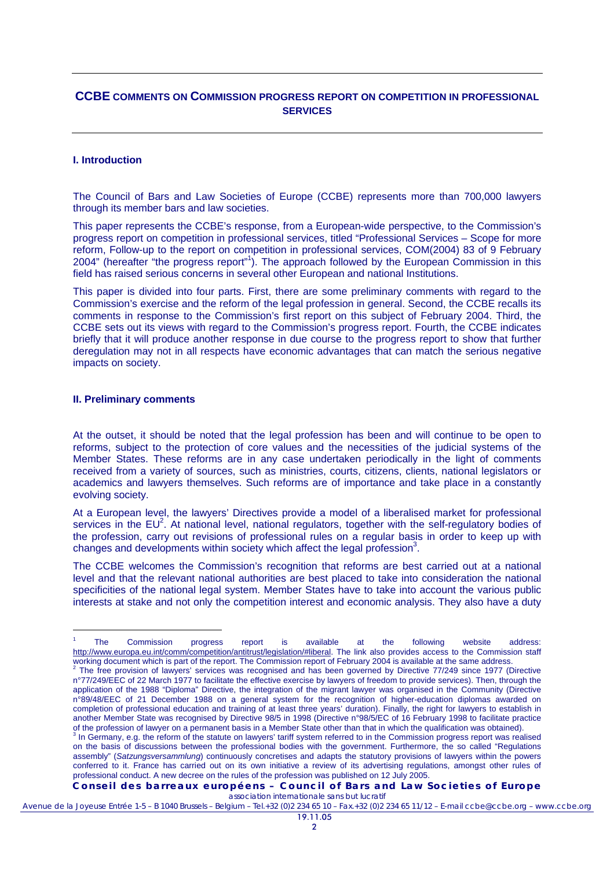# **CCBE COMMENTS ON COMMISSION PROGRESS REPORT ON COMPETITION IN PROFESSIONAL SERVICES**

#### **I. Introduction**

The Council of Bars and Law Societies of Europe (CCBE) represents more than 700,000 lawyers through its member bars and law societies.

This paper represents the CCBE's response, from a European-wide perspective, to the Commission's progress report on competition in professional services, titled "Professional Services – Scope for more reform, Follow-up to the report on competition in professional services, COM(2004) 83 of 9 February 2004" (hereafter "the progress report"<sup>1</sup>). The approach followed by the European Commission in this field has raised serious concerns in several other European and national Institutions.

This paper is divided into four parts. First, there are some preliminary comments with regard to the Commission's exercise and the reform of the legal profession in general. Second, the CCBE recalls its comments in response to the Commission's first report on this subject of February 2004. Third, the CCBE sets out its views with regard to the Commission's progress report. Fourth, the CCBE indicates briefly that it will produce another response in due course to the progress report to show that further deregulation may not in all respects have economic advantages that can match the serious negative impacts on society.

#### **II. Preliminary comments**

-

At the outset, it should be noted that the legal profession has been and will continue to be open to reforms, subject to the protection of core values and the necessities of the judicial systems of the Member States. These reforms are in any case undertaken periodically in the light of comments received from a variety of sources, such as ministries, courts, citizens, clients, national legislators or academics and lawyers themselves. Such reforms are of importance and take place in a constantly evolving society.

At a European level, the lawyers' Directives provide a model of a liberalised market for professional services in the  $EU^2$ . At national level, national regulators, together with the self-regulatory bodies of the profession, carry out revisions of professional rules on a regular basis in order to keep up with changes and developments within society which affect the legal profession $3$ .

The CCBE welcomes the Commission's recognition that reforms are best carried out at a national level and that the relevant national authorities are best placed to take into consideration the national specificities of the national legal system. Member States have to take into account the various public interests at stake and not only the competition interest and economic analysis. They also have a duty

**Conseil des barreaux européens – Council of Bars and Law Societies of Europe**  *association internationale sans but lucratif*

<sup>1</sup> The Commission progress report is available at the following website address: http://www.europa.eu.int/comm/competition/antitrust/legislation/#liberal. The link also provides access to the Commission staff

working document which is part of the report. The Commission report of February 2004 is available at the same address.<br><sup>2</sup> The free provision of lawyers' services was recognised and has been governed by Directive 77/249 si n°77/249/EEC of 22 March 1977 to facilitate the effective exercise by lawyers of freedom to provide services). Then, through the application of the 1988 "Diploma" Directive, the integration of the migrant lawyer was organised in the Community (Directive n°89/48/EEC of 21 December 1988 on a general system for the recognition of higher-education diplomas awarded on completion of professional education and training of at least three years' duration). Finally, the right for lawyers to establish in another Member State was recognised by Directive 98/5 in 1998 (Directive n°98/5/EC of 16 February 1998 to facilitate practice of the profession of lawyer on a permanent basis in a Member State other than that in which the qualification was obtained). 3

In Germany, e.g. the reform of the statute on lawyers' tariff system referred to in the Commission progress report was realised on the basis of discussions between the professional bodies with the government. Furthermore, the so called "Regulations assembly" (*Satzungsversammlung*) continuously concretises and adapts the statutory provisions of lawyers within the powers conferred to it. France has carried out on its own initiative a review of its advertising regulations, amongst other rules of professional conduct. A new decree on the rules of the profession was published on 12 July 2005.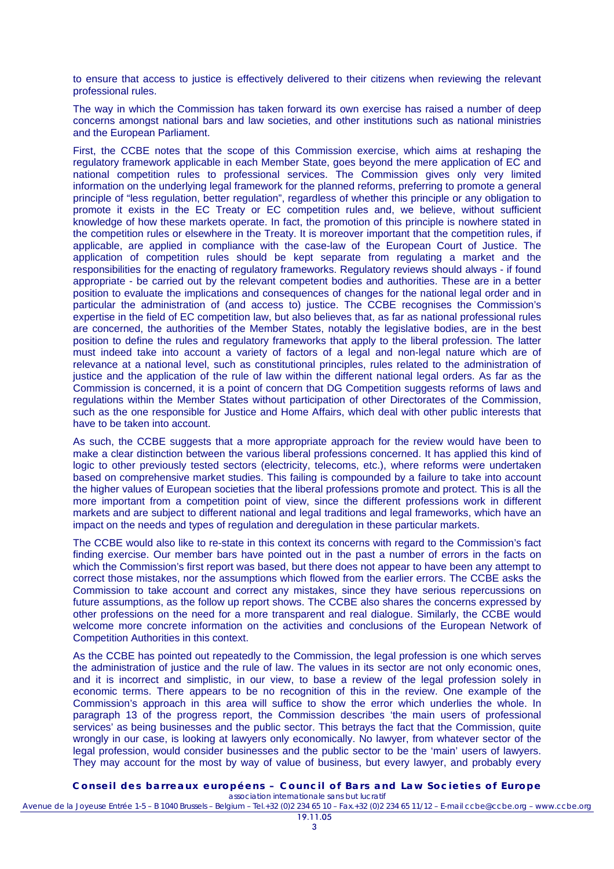to ensure that access to justice is effectively delivered to their citizens when reviewing the relevant professional rules.

The way in which the Commission has taken forward its own exercise has raised a number of deep concerns amongst national bars and law societies, and other institutions such as national ministries and the European Parliament.

First, the CCBE notes that the scope of this Commission exercise, which aims at reshaping the regulatory framework applicable in each Member State, goes beyond the mere application of EC and national competition rules to professional services. The Commission gives only very limited information on the underlying legal framework for the planned reforms, preferring to promote a general principle of "less regulation, better regulation", regardless of whether this principle or any obligation to promote it exists in the EC Treaty or EC competition rules and, we believe, without sufficient knowledge of how these markets operate. In fact, the promotion of this principle is nowhere stated in the competition rules or elsewhere in the Treaty. It is moreover important that the competition rules, if applicable, are applied in compliance with the case-law of the European Court of Justice. The application of competition rules should be kept separate from regulating a market and the responsibilities for the enacting of regulatory frameworks. Regulatory reviews should always - if found appropriate - be carried out by the relevant competent bodies and authorities. These are in a better position to evaluate the implications and consequences of changes for the national legal order and in particular the administration of (and access to) justice. The CCBE recognises the Commission's expertise in the field of EC competition law, but also believes that, as far as national professional rules are concerned, the authorities of the Member States, notably the legislative bodies, are in the best position to define the rules and regulatory frameworks that apply to the liberal profession. The latter must indeed take into account a variety of factors of a legal and non-legal nature which are of relevance at a national level, such as constitutional principles, rules related to the administration of justice and the application of the rule of law within the different national legal orders. As far as the Commission is concerned, it is a point of concern that DG Competition suggests reforms of laws and regulations within the Member States without participation of other Directorates of the Commission, such as the one responsible for Justice and Home Affairs, which deal with other public interests that have to be taken into account.

As such, the CCBE suggests that a more appropriate approach for the review would have been to make a clear distinction between the various liberal professions concerned. It has applied this kind of logic to other previously tested sectors (electricity, telecoms, etc.), where reforms were undertaken based on comprehensive market studies. This failing is compounded by a failure to take into account the higher values of European societies that the liberal professions promote and protect. This is all the more important from a competition point of view, since the different professions work in different markets and are subject to different national and legal traditions and legal frameworks, which have an impact on the needs and types of regulation and deregulation in these particular markets.

The CCBE would also like to re-state in this context its concerns with regard to the Commission's fact finding exercise. Our member bars have pointed out in the past a number of errors in the facts on which the Commission's first report was based, but there does not appear to have been any attempt to correct those mistakes, nor the assumptions which flowed from the earlier errors. The CCBE asks the Commission to take account and correct any mistakes, since they have serious repercussions on future assumptions, as the follow up report shows. The CCBE also shares the concerns expressed by other professions on the need for a more transparent and real dialogue. Similarly, the CCBE would welcome more concrete information on the activities and conclusions of the European Network of Competition Authorities in this context.

As the CCBE has pointed out repeatedly to the Commission, the legal profession is one which serves the administration of justice and the rule of law. The values in its sector are not only economic ones, and it is incorrect and simplistic, in our view, to base a review of the legal profession solely in economic terms. There appears to be no recognition of this in the review. One example of the Commission's approach in this area will suffice to show the error which underlies the whole. In paragraph 13 of the progress report, the Commission describes 'the main users of professional services' as being businesses and the public sector. This betrays the fact that the Commission, quite wrongly in our case, is looking at lawyers only economically. No lawyer, from whatever sector of the legal profession, would consider businesses and the public sector to be the 'main' users of lawyers. They may account for the most by way of value of business, but every lawyer, and probably every

**Conseil des barreaux européens – Council of Bars and Law Societies of Europe**  *association internationale sans but lucratif*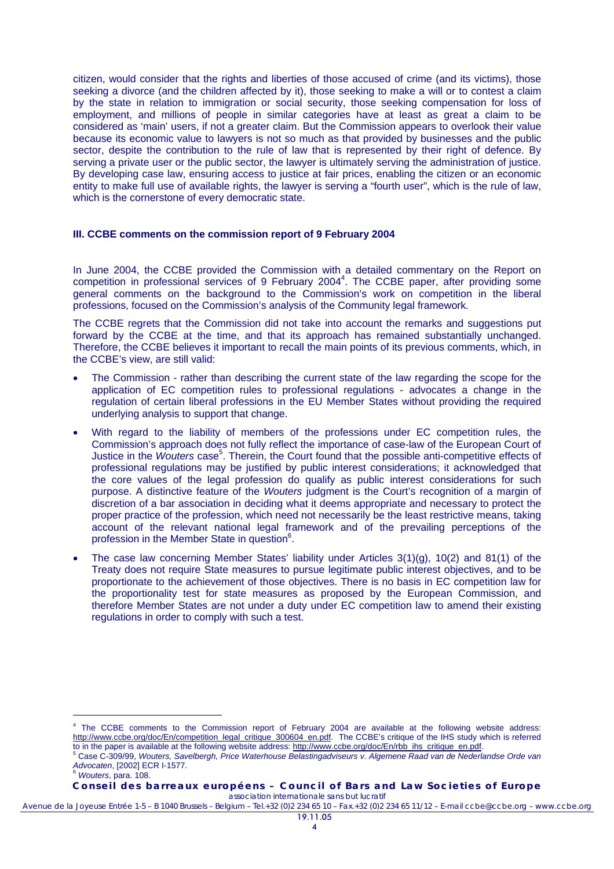citizen, would consider that the rights and liberties of those accused of crime (and its victims), those seeking a divorce (and the children affected by it), those seeking to make a will or to contest a claim by the state in relation to immigration or social security, those seeking compensation for loss of employment, and millions of people in similar categories have at least as great a claim to be considered as 'main' users, if not a greater claim. But the Commission appears to overlook their value because its economic value to lawyers is not so much as that provided by businesses and the public sector, despite the contribution to the rule of law that is represented by their right of defence. By serving a private user or the public sector, the lawyer is ultimately serving the administration of justice. By developing case law, ensuring access to justice at fair prices, enabling the citizen or an economic entity to make full use of available rights, the lawyer is serving a "fourth user", which is the rule of law, which is the cornerstone of every democratic state.

#### **III. CCBE comments on the commission report of 9 February 2004**

In June 2004, the CCBE provided the Commission with a detailed commentary on the Report on competition in professional services of 9 February 2004<sup>4</sup>. The CCBE paper, after providing some general comments on the background to the Commission's work on competition in the liberal professions, focused on the Commission's analysis of the Community legal framework.

The CCBE regrets that the Commission did not take into account the remarks and suggestions put forward by the CCBE at the time, and that its approach has remained substantially unchanged. Therefore, the CCBE believes it important to recall the main points of its previous comments, which, in the CCBE's view, are still valid:

- The Commission rather than describing the current state of the law regarding the scope for the application of EC competition rules to professional regulations - advocates a change in the regulation of certain liberal professions in the EU Member States without providing the required underlying analysis to support that change.
- With regard to the liability of members of the professions under EC competition rules, the Commission's approach does not fully reflect the importance of case-law of the European Court of Justice in the *Wouters* case<sup>5</sup>. Therein, the Court found that the possible anti-competitive effects of professional regulations may be justified by public interest considerations; it acknowledged that the core values of the legal profession do qualify as public interest considerations for such purpose. A distinctive feature of the *Wouters* judgment is the Court's recognition of a margin of discretion of a bar association in deciding what it deems appropriate and necessary to protect the proper practice of the profession, which need not necessarily be the least restrictive means, taking account of the relevant national legal framework and of the prevailing perceptions of the profession in the Member State in question<sup>6</sup>.
- The case law concerning Member States' liability under Articles 3(1)(g), 10(2) and 81(1) of the Treaty does not require State measures to pursue legitimate public interest objectives, and to be proportionate to the achievement of those objectives. There is no basis in EC competition law for the proportionality test for state measures as proposed by the European Commission, and therefore Member States are not under a duty under EC competition law to amend their existing regulations in order to comply with such a test.

l

<sup>&</sup>lt;sup>4</sup> The CCBE comments to the Commission report of February 2004 are available at the following website address: http://www.ccbe.org/doc/En/competition\_legal\_critique\_300604\_en.pdf. The CCBE's critique of the IHS study which is referred to in the paper is available at the following website address: http://www.ccbe.org/doc/En/rbb\_ihs\_critique\_en.pdf.

Case C-309/99, *Wouters, Savelbergh, Price Waterhouse Belastingadviseurs v. Algemene Raad van de Nederlandse Orde van Advocaten*, [2002] ECR I-1577. 6 *Wouters*, para. 108.

**Conseil des barreaux européens – Council of Bars and Law Societies of Europe**  *association internationale sans but lucratif*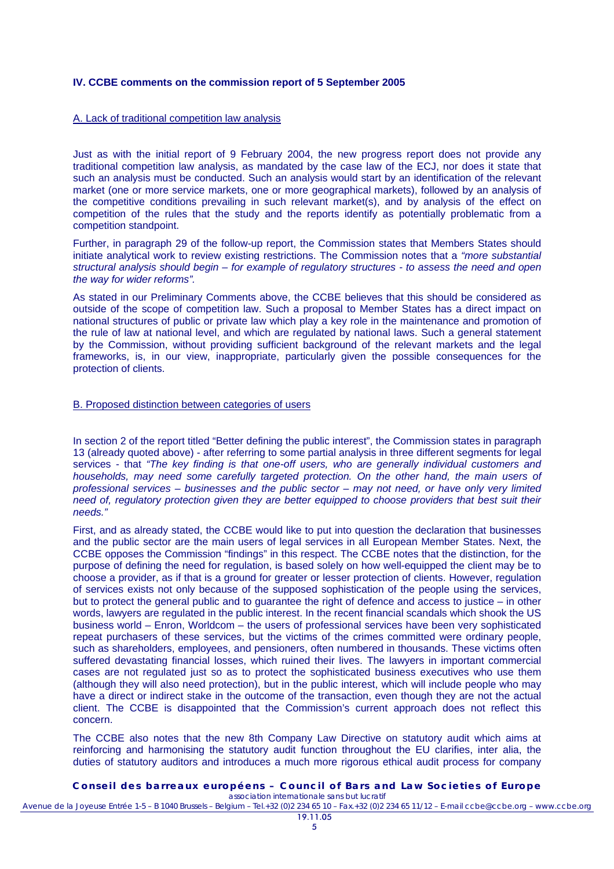### **IV. CCBE comments on the commission report of 5 September 2005**

# A. Lack of traditional competition law analysis

Just as with the initial report of 9 February 2004, the new progress report does not provide any traditional competition law analysis, as mandated by the case law of the ECJ, nor does it state that such an analysis must be conducted. Such an analysis would start by an identification of the relevant market (one or more service markets, one or more geographical markets), followed by an analysis of the competitive conditions prevailing in such relevant market(s), and by analysis of the effect on competition of the rules that the study and the reports identify as potentially problematic from a competition standpoint.

Further, in paragraph 29 of the follow-up report, the Commission states that Members States should initiate analytical work to review existing restrictions. The Commission notes that a *"more substantial structural analysis should begin – for example of regulatory structures - to assess the need and open the way for wider reforms".*

As stated in our Preliminary Comments above, the CCBE believes that this should be considered as outside of the scope of competition law. Such a proposal to Member States has a direct impact on national structures of public or private law which play a key role in the maintenance and promotion of the rule of law at national level, and which are regulated by national laws. Such a general statement by the Commission, without providing sufficient background of the relevant markets and the legal frameworks, is, in our view, inappropriate, particularly given the possible consequences for the protection of clients.

# B. Proposed distinction between categories of users

In section 2 of the report titled "Better defining the public interest", the Commission states in paragraph 13 (already quoted above) - after referring to some partial analysis in three different segments for legal services - that *"The key finding is that one-off users, who are generally individual customers and households, may need some carefully targeted protection. On the other hand, the main users of professional services – businesses and the public sector – may not need, or have only very limited need of, regulatory protection given they are better equipped to choose providers that best suit their needs."*

First, and as already stated, the CCBE would like to put into question the declaration that businesses and the public sector are the main users of legal services in all European Member States. Next, the CCBE opposes the Commission "findings" in this respect. The CCBE notes that the distinction, for the purpose of defining the need for regulation, is based solely on how well-equipped the client may be to choose a provider, as if that is a ground for greater or lesser protection of clients. However, regulation of services exists not only because of the supposed sophistication of the people using the services, but to protect the general public and to guarantee the right of defence and access to justice – in other words, lawyers are regulated in the public interest. In the recent financial scandals which shook the US business world – Enron, Worldcom – the users of professional services have been very sophisticated repeat purchasers of these services, but the victims of the crimes committed were ordinary people, such as shareholders, employees, and pensioners, often numbered in thousands. These victims often suffered devastating financial losses, which ruined their lives. The lawyers in important commercial cases are not regulated just so as to protect the sophisticated business executives who use them (although they will also need protection), but in the public interest, which will include people who may have a direct or indirect stake in the outcome of the transaction, even though they are not the actual client. The CCBE is disappointed that the Commission's current approach does not reflect this concern.

The CCBE also notes that the new 8th Company Law Directive on statutory audit which aims at reinforcing and harmonising the statutory audit function throughout the EU clarifies, inter alia, the duties of statutory auditors and introduces a much more rigorous ethical audit process for company

#### **Conseil des barreaux européens – Council of Bars and Law Societies of Europe**  *association internationale sans but lucratif*